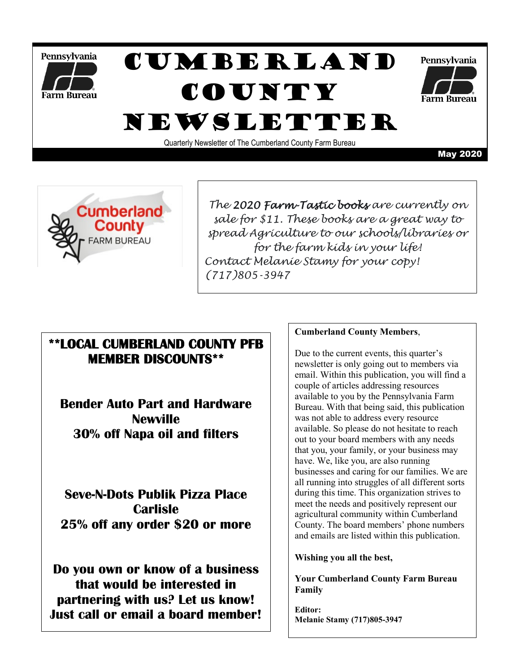

# Cumberland **COUNTY** Newsletter



Quarterly Newsletter of The Cumberland County Farm Bureau

May 2020



*The 2020 Farm-Tastic books are currently on sale for \$11. These books are a great way to spread Agriculture to our schools/libraries or for the farm kids in your life! Contact Melanie Stamy for your copy! (717)805-3947*

### **\*\*LOCAL CUMBERLAND COUNTY PFB MEMBER DISCOUNTS\*\***

**Bender Auto Part and Hardware Newville 30% off Napa oil and filters**

**Seve-N-Dots Publik Pizza Place Carlisle 25% off any order \$20 or more**

**Do you own or know of a business that would be interested in partnering with us? Let us know! Just call or email a board member!**

#### **Cumberland County Members**,

Due to the current events, this quarter's newsletter is only going out to members via email. Within this publication, you will find a couple of articles addressing resources available to you by the Pennsylvania Farm Bureau. With that being said, this publication was not able to address every resource available. So please do not hesitate to reach out to your board members with any needs that you, your family, or your business may have. We, like you, are also running businesses and caring for our families. We are all running into struggles of all different sorts during this time. This organization strives to meet the needs and positively represent our agricultural community within Cumberland County. The board members' phone numbers and emails are listed within this publication.

#### **Wishing you all the best,**

**Your Cumberland County Farm Bureau Family**

**Editor: Melanie Stamy (717)805-3947**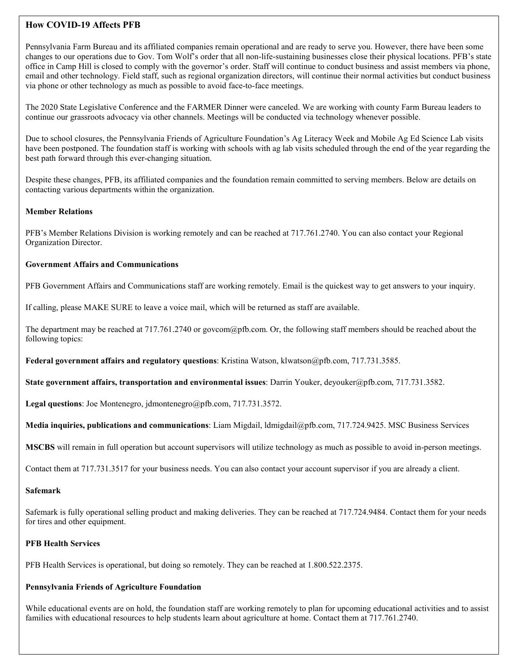#### **How COVID-19 Affects PFB**

Pennsylvania Farm Bureau and its affiliated companies remain operational and are ready to serve you. However, there have been some changes to our operations due to Gov. Tom Wolf's order that all non-life-sustaining businesses close their physical locations. PFB's state office in Camp Hill is closed to comply with the governor's order. Staff will continue to conduct business and assist members via phone, email and other technology. Field staff, such as regional organization directors, will continue their normal activities but conduct business via phone or other technology as much as possible to avoid face-to-face meetings.

The 2020 State Legislative Conference and the FARMER Dinner were canceled. We are working with county Farm Bureau leaders to continue our grassroots advocacy via other channels. Meetings will be conducted via technology whenever possible.

Due to school closures, the Pennsylvania Friends of Agriculture Foundation's Ag Literacy Week and Mobile Ag Ed Science Lab visits have been postponed. The foundation staff is working with schools with ag lab visits scheduled through the end of the year regarding the best path forward through this ever-changing situation.

Despite these changes, PFB, its affiliated companies and the foundation remain committed to serving members. Below are details on contacting various departments within the organization.

#### **Member Relations**

PFB's Member Relations Division is working remotely and can be reached at 717.761.2740. You can also contact your Regional Organization Director.

#### **Government Affairs and Communications**

PFB Government Affairs and Communications staff are working remotely. Email is the quickest way to get answers to your inquiry.

If calling, please MAKE SURE to leave a voice mail, which will be returned as staff are available.

The department may be reached at 717.761.2740 or govcom@pfb.com. Or, the following staff members should be reached about the following topics:

**Federal government affairs and regulatory questions**: Kristina Watson, klwatson@pfb.com, 717.731.3585.

**State government affairs, transportation and environmental issues**: Darrin Youker, deyouker@pfb.com, 717.731.3582.

**Legal questions**: Joe Montenegro, jdmontenegro@pfb.com, 717.731.3572.

**Media inquiries, publications and communications**: Liam Migdail, ldmigdail@pfb.com, 717.724.9425. MSC Business Services

**MSCBS** will remain in full operation but account supervisors will utilize technology as much as possible to avoid in-person meetings.

Contact them at 717.731.3517 for your business needs. You can also contact your account supervisor if you are already a client.

#### **Safemark**

Safemark is fully operational selling product and making deliveries. They can be reached at 717.724.9484. Contact them for your needs for tires and other equipment.

#### **PFB Health Services**

PFB Health Services is operational, but doing so remotely. They can be reached at 1.800.522.2375.

#### **Pennsylvania Friends of Agriculture Foundation**

While educational events are on hold, the foundation staff are working remotely to plan for upcoming educational activities and to assist families with educational resources to help students learn about agriculture at home. Contact them at 717.761.2740.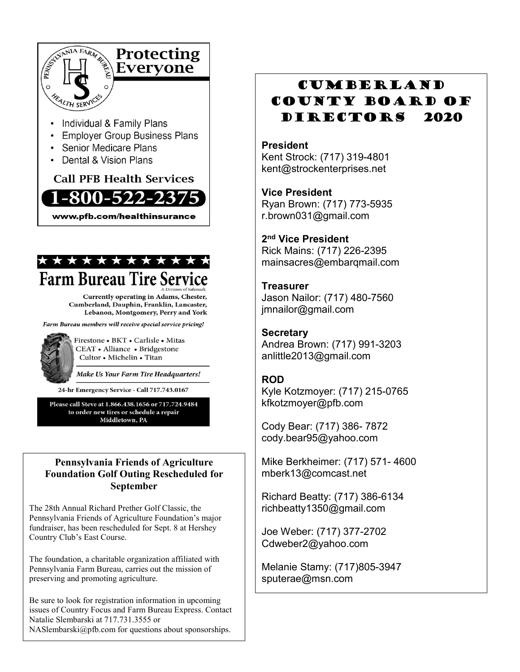

- Individual & Family Plans
- Employer Group Business Plans
- Senior Medicare Plans
- Dental & Vision Plans

### **Call PFB Health Services** -800-522-237 www.pfb.com/healthinsurance



Currently operating in Adams, Chester, Cumberland, Dauphin, Franklin, Lancaster, Lebanon, Montgomery, Perry and York

Farm Bureau members will receive special service pricing!



Firestone • BKT • Carlisle • Mitas CEAT · Alliance · Bridgestone Cultor • Michelin • Titan

Make Us Your Farm Tire Headquarters!

24-hr Emergency Service - Call 717.743.0167

Please call Steve at 1.866.438.1656 or 717.724.9484 to order new tires or schedule a repair Middletown, PA

### **Pennsylvania Friends of Agriculture Foundation Golf Outing Rescheduled for September**

The 28th Annual Richard Prether Golf Classic, the Pennsylvania Friends of Agriculture Foundation's major fundraiser, has been rescheduled for Sept. 8 at Hershey Country Club's East Course.

The foundation, a charitable organization affiliated with Pennsylvania Farm Bureau, carries out the mission of preserving and promoting agriculture.

Be sure to look for registration information in upcoming issues of Country Focus and Farm Bureau Express. Contact Natalie Slembarski at 717.731.3555 or NASlembarski@pfb.com for questions about sponsorships.

## Cumberland County Board of DIRECTORS 2020

### **President**

Kent Strock: (717) 319-4801 kent@strockenterprises.net

**Vice President** Ryan Brown: (717) 773-5935 r.brown031@gmail.com

**2nd Vice President**

Rick Mains: (717) 226-2395 mainsacres@embarqmail.com

**Treasurer** Jason Nailor: (717) 480-7560 jmnailor@gmail.com

**Secretary** Andrea Brown: (717) 991-3203 anlittle2013@gmail.com

### **ROD**

Kyle Kotzmoyer: (717) 215-0765 kfkotzmoyer@pfb.com

Cody Bear: (717) 386- 7872 cody.bear95@yahoo.com

Mike Berkheimer: (717) 571- 4600 mberk13@comcast.net

Richard Beatty: (717) 386-6134 richbeatty1350@gmail.com

Joe Weber: (717) 377-2702 Cdweber2@yahoo.com

Melanie Stamy: (717)805-3947 sputerae@msn.com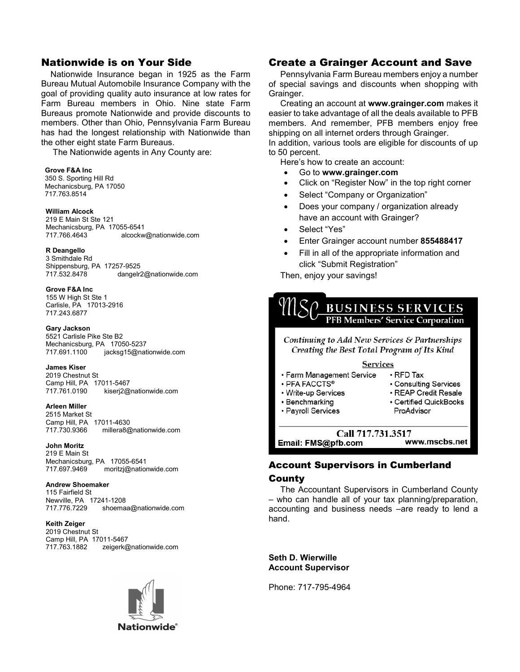### Nationwide is on Your Side

 Nationwide Insurance began in 1925 as the Farm Bureau Mutual Automobile Insurance Company with the goal of providing quality auto insurance at low rates for Farm Bureau members in Ohio. Nine state Farm Bureaus promote Nationwide and provide discounts to members. Other than Ohio, Pennsylvania Farm Bureau has had the longest relationship with Nationwide than the other eight state Farm Bureaus.

The Nationwide agents in Any County are:

#### **Grove F&A Inc**

 350 S. Sporting Hill Rd Mechanicsburg, PA 17050 717.763.8514

#### **William Alcock**

219 E Main St Ste 121 Mechanicsburg, PA 17055-6541<br>717.766.4643 alcockw alcockw@nationwide.com

#### **R Deangello**

3 Smithdale Rd Shippensburg, PA 17257-9525<br>717.532.8478 dangelr dangelr2@nationwide.com

#### **Grove F&A Inc**

155 W High St Ste 1 Carlisle, PA 17013-2916 717.243.6877

#### **Gary Jackson**

5521 Carlisle Pike Ste B2 Mechanicsburg, PA 17050-5237<br>717.691.1100 iacksq15@nat jacksg15@nationwide.com

#### **James Kiser**

2019 Chestnut St Camp Hill, PA 17011-5467<br>717 761 0190 kiseri2@ kiserj2@nationwide.com

#### **Arleen Miller**

2515 Market St Camp Hill, PA 17011-4630<br>717.730.9366 millera8@ millera8@nationwide.com

#### **John Moritz**

219 E Main St Mechanicsburg, PA 17055-6541 717.697.9469 moritzj@nationwide.com

#### **Andrew Shoemaker**

115 Fairfield St Newville, PA 17241-1208 shoemaa@nationwide.com

#### **Keith Zeiger**

2019 Chestnut St Camp Hill, PA 17011-5467<br>717.763.1882 zeigerk@ zeigerk@nationwide.com



#### Create a Grainger Account and Save

 Pennsylvania Farm Bureau members enjoy a number of special savings and discounts when shopping with Grainger.

 Creating an account at **www.grainger.com** makes it easier to take advantage of all the deals available to PFB members. And remember, PFB members enjoy free shipping on all internet orders through Grainger.

In addition, various tools are eligible for discounts of up to 50 percent.

Here's how to create an account:

- Go to **www.grainger.com**
- Click on "Register Now" in the top right corner
- Select "Company or Organization"
- Does your company / organization already have an account with Grainger?
- Select "Yes"
- Enter Grainger account number **855488417**
- Fill in all of the appropriate information and click "Submit Registration"

Then, enjoy your savings!



Call 717.731.3517 Email: FMS@pfb.com

#### www.mscbs.net

### Account Supervisors in Cumberland

#### County

 The Accountant Supervisors in Cumberland County – who can handle all of your tax planning/preparation, accounting and business needs –are ready to lend a hand.

**Seth D. Wierwille Account Supervisor**

Phone: 717-795-4964